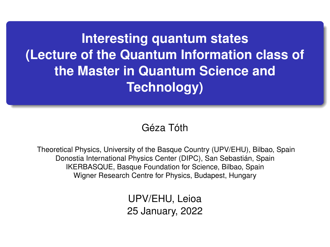**Interesting quantum states (Lecture of the Quantum Information class of the Master in Quantum Science and Technology)**

#### Géza Tóth

Theoretical Physics, University of the Basque Country (UPV/EHU), Bilbao, Spain Donostia International Physics Center (DIPC), San Sebastián, Spain IKERBASQUE, Basque Foundation for Science, Bilbao, Spain Wigner Research Centre for Physics, Budapest, Hungary

> UPV/EHU, Leioa 25 January, 2022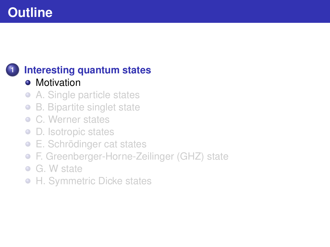#### <span id="page-1-0"></span>**1 [Interesting quantum states](#page-1-0) •** [Motivation](#page-1-0)

- [A. Single particle states](#page-3-0)  $\bullet$
- [B. Bipartite singlet state](#page-5-0)  $\bullet$
- **C.** Werner states
- [D. Isotropic states](#page-16-0)
- [E. Schrödinger cat states](#page-18-0)
- [F. Greenberger-Horne-Zeilinger \(GHZ\) state](#page-20-0)
- [G. W state](#page-25-0)
- **[H. Symmetric Dicke states](#page-27-0)**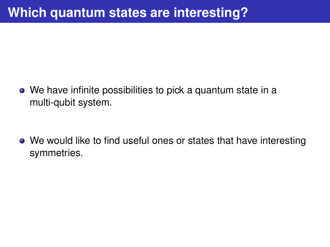We have infinite possibilities to pick a quantum state in a multi-qubit system.

We would like to find useful ones or states that have interesting symmetries.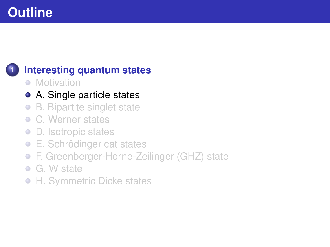### <span id="page-3-0"></span>**1 [Interesting quantum states](#page-1-0)**

• [Motivation](#page-1-0)

### [A. Single particle states](#page-3-0)

- [B. Bipartite singlet state](#page-5-0)  $\bullet$
- **C.** Werner states
- [D. Isotropic states](#page-16-0)
- [E. Schrödinger cat states](#page-18-0)
- [F. Greenberger-Horne-Zeilinger \(GHZ\) state](#page-20-0)
- [G. W state](#page-25-0)
- **[H. Symmetric Dicke states](#page-27-0)**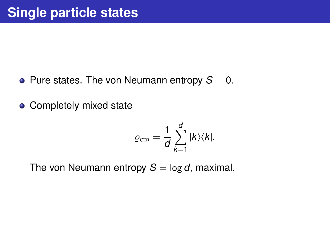- Pure states. The von Neumann entropy  $S = 0$ .
- Completely mixed state

$$
\varrho_{\rm cm}=\frac{1}{d}\sum_{k=1}^d|k\rangle\langle k|.
$$

The von Neumann entropy  $S = \log d$ , maximal.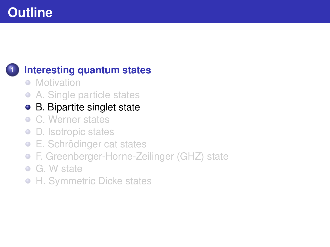### <span id="page-5-0"></span>**1 [Interesting quantum states](#page-1-0)**

- [Motivation](#page-1-0)
- [A. Single particle states](#page-3-0)  $\bullet$

### • [B. Bipartite singlet state](#page-5-0)

- **C.** Werner states
- [D. Isotropic states](#page-16-0)
- [E. Schrödinger cat states](#page-18-0)
- [F. Greenberger-Horne-Zeilinger \(GHZ\) state](#page-20-0)
- [G. W state](#page-25-0)
- **[H. Symmetric Dicke states](#page-27-0)**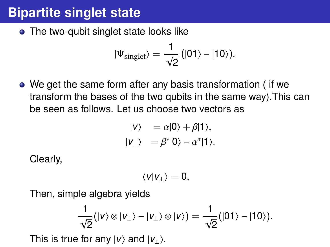## **Bipartite singlet state**

• The two-qubit singlet state looks like

$$
|\Psi_{\rm singlet}\rangle=\frac{1}{\sqrt{2}}\left(|01\rangle-|10\rangle\right)\!.
$$

We get the same form after any basis transformation ( if we transform the bases of the two qubits in the same way).This can be seen as follows. Let us choose two vectors as

$$
|v\rangle = \alpha|0\rangle + \beta|1\rangle,
$$
  

$$
|v_{\perp}\rangle = \beta^*|0\rangle - \alpha^*|1\rangle.
$$

Clearly,

$$
\langle v|v_{\perp}\rangle=0,
$$

Then, simple algebra yields

$$
\frac{1}{\sqrt{2}}\big(|v\rangle\otimes|v_{\perp}\rangle-|v_{\perp}\rangle\otimes|v\rangle\big)=\frac{1}{\sqrt{2}}\big(|01\rangle-|10\rangle\big).
$$

This is true for any  $|v\rangle$  and  $|v_+\rangle$ .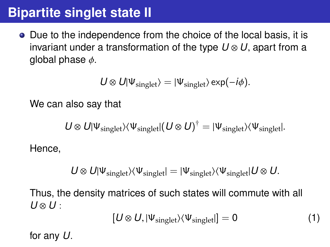# **Bipartite singlet state II**

• Due to the independence from the choice of the local basis, it is invariant under a transformation of the type  $U \otimes U$ , apart from a global phase  $\phi$ .

$$
U \otimes U|\Psi_{\text{singlet}}\rangle = |\Psi_{\text{singlet}}\rangle \exp(-i\phi).
$$

We can also say that

$$
U\otimes U|\Psi_{singlet}\rangle\langle\Psi_{singlet}|(U\otimes U)^{\dagger}=|\Psi_{singlet}\rangle\langle\Psi_{singlet}|.
$$

Hence,

$$
U\otimes U|\Psi_{singlet}\rangle\langle\Psi_{singlet}|=|\Psi_{singlet}\rangle\langle\Psi_{singlet}|U\otimes U.
$$

Thus, the density matrices of such states will commute with all *U* ⊗ *U* :

$$
[U \otimes U, |\Psi_{\text{singlet}}\rangle\langle\Psi_{\text{singlet}}|] = 0 \tag{1}
$$

for any *<sup>U</sup>*.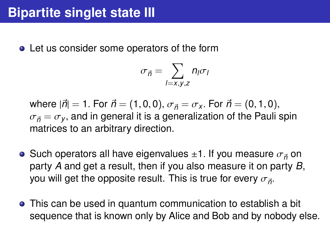• Let us consider some operators of the form

$$
\sigma_{\vec{n}} = \sum_{l=x,y,z} n_l \sigma_l
$$

where  $|\vec{n}| = 1$ . For  $\vec{n} = (1, 0, 0), \sigma_{\vec{n}} = \sigma_{\chi}$ . For  $\vec{n} = (0, 1, 0),$  $\sigma_{\vec{n}} = \sigma_{\nu}$ , and in general it is a generalization of the Pauli spin matrices to an arbitrary direction.

- Such operators all have eigenvalues  $\pm$ 1. If you measure  $\sigma$ <sup>2</sup> on party *A* and get a result, then if you also measure it on party *B*, you will get the opposite result. This is true for every  $\sigma_{\vec{p}}$ .
- This can be used in quantum communication to establish a bit sequence that is known only by Alice and Bob and by nobody else.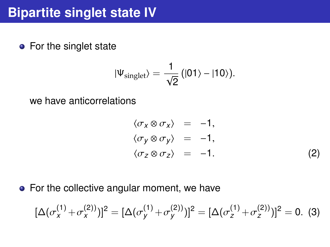• For the singlet state

$$
|\Psi_{\rm singlet}\rangle=\frac{1}{\sqrt{2}}\left(|01\rangle-|10\rangle\right).
$$

we have anticorrelations

$$
\langle \sigma_X \otimes \sigma_X \rangle = -1, \n\langle \sigma_Y \otimes \sigma_Y \rangle = -1, \n\langle \sigma_Z \otimes \sigma_Z \rangle = -1.
$$
\n(2)

• For the collective angular moment, we have

$$
[\Delta(\sigma_X^{(1)} + \sigma_X^{(2)})]^2 = [\Delta(\sigma_Y^{(1)} + \sigma_Y^{(2)})]^2 = [\Delta(\sigma_Z^{(1)} + \sigma_Z^{(2)})]^2 = 0.
$$
 (3)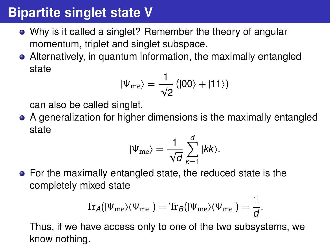# **Bipartite singlet state V**

- Why is it called a singlet? Remember the theory of angular momentum, triplet and singlet subspace.
- Alternatively, in quantum information, the maximally entangled state

$$
|\Psi_{\rm me}\rangle=\frac{1}{\sqrt{2}}\left(|00\rangle+|11\rangle\right)
$$

can also be called singlet.

A generalization for higher dimensions is the maximally entangled state

$$
|\Psi_{\text{me}}\rangle = \frac{1}{\sqrt{d}}\sum_{k=1}^{d} |kk\rangle.
$$

For the maximally entangled state, the reduced state is the completely mixed state

$$
\text{Tr}_\text{A}(|\Psi_\text{me}\rangle\langle\Psi_\text{me}|)=\text{Tr}_\text{B}(|\Psi_\text{me}\rangle\langle\Psi_\text{me}|)=\frac{\mathbb{I}}{d}.
$$

Thus, if we have access only to one of the two subsystems, we know nothing.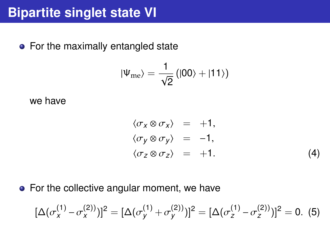### **Bipartite singlet state VI**

• For the maximally entangled state

$$
|\Psi_{\rm me}\rangle=\frac{1}{\sqrt{2}}\left(|00\rangle+|11\rangle\right)
$$

we have

$$
\langle \sigma_X \otimes \sigma_X \rangle = +1, \n\langle \sigma_Y \otimes \sigma_Y \rangle = -1, \n\langle \sigma_Z \otimes \sigma_Z \rangle = +1.
$$
\n(4)

• For the collective angular moment, we have

$$
[\Delta(\sigma_X^{(1)} - \sigma_X^{(2)})]^2 = [\Delta(\sigma_Y^{(1)} + \sigma_Y^{(2)})]^2 = [\Delta(\sigma_Z^{(1)} - \sigma_Z^{(2)})]^2 = 0. \tag{5}
$$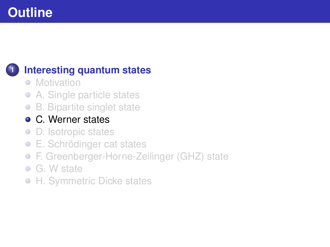### <span id="page-12-0"></span>**1 [Interesting quantum states](#page-1-0)**

- [Motivation](#page-1-0)
- [A. Single particle states](#page-3-0)  $\bullet$
- [B. Bipartite singlet state](#page-5-0)  $\bullet$

### [C. Werner states](#page-12-0)

- [D. Isotropic states](#page-16-0)
- [E. Schrödinger cat states](#page-18-0)
- [F. Greenberger-Horne-Zeilinger \(GHZ\) state](#page-20-0)
- [G. W state](#page-25-0)
- **[H. Symmetric Dicke states](#page-27-0)**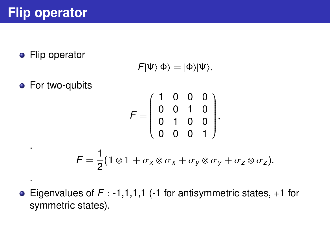**•** Flip operator

$$
F|\Psi\rangle|\Phi\rangle=|\Phi\rangle|\Psi\rangle.
$$

**•** For two-qubits

.

.

$$
F = \begin{pmatrix} 1 & 0 & 0 & 0 \\ 0 & 0 & 1 & 0 \\ 0 & 1 & 0 & 0 \\ 0 & 0 & 0 & 1 \end{pmatrix},
$$

$$
F = \frac{1}{2} (\mathbb{1} \otimes \mathbb{1} + \sigma_x \otimes \sigma_x + \sigma_y \otimes \sigma_y + \sigma_z \otimes \sigma_z).
$$

Eigenvalues of *F* : -1,1,1,1 (-1 for antisymmetric states, +1 for symmetric states).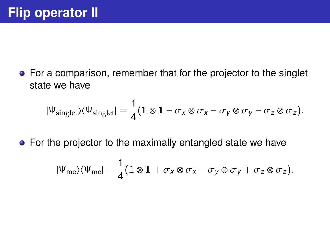• For a comparison, remember that for the projector to the singlet state we have

$$
|\Psi_{singlet}\rangle\langle\Psi_{singlet}|=\frac{1}{4}(\mathbb{1}\otimes\mathbb{1}-\sigma_x\otimes\sigma_x-\sigma_y\otimes\sigma_y-\sigma_z\otimes\sigma_z).
$$

• For the projector to the maximally entangled state we have

$$
|\Psi_{\text{me}}\rangle\langle\Psi_{\text{me}}| = \frac{1}{4}(\mathbb{1} \otimes \mathbb{1} + \sigma_x \otimes \sigma_x - \sigma_y \otimes \sigma_y + \sigma_z \otimes \sigma_z).
$$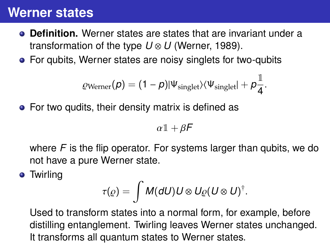### **Werner states**

- **Definition.** Werner states are states that are invariant under a transformation of the type *U* ⊗ *U* (Werner, 1989).
- For qubits, Werner states are noisy singlets for two-qubits

$$
\varrho_{\text{Werner}}(\rho)=(1-\rho)|\Psi_{\text{singlet}}\rangle\langle\Psi_{\text{singlet}}|+\rho\frac{\mathbb{1}}{4}.
$$

• For two qudits, their density matrix is defined as

$$
\alpha \mathbb{1} + \beta \mathcal{F}
$$

where *F* is the flip operator. For systems larger than qubits, we do not have a pure Werner state.

**•** Twirling

$$
\tau(\varrho)=\int M(dU)U\otimes U\varrho(U\otimes U)^{\dagger}.
$$

Used to transform states into a normal form, for example, before distilling entanglement. Twirling leaves Werner states unchanged. It transforms all quantum states to Werner states.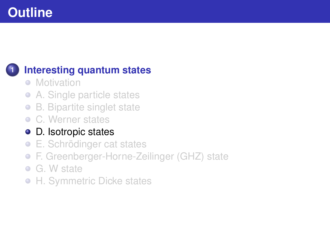### <span id="page-16-0"></span>**1 [Interesting quantum states](#page-1-0)**

- [Motivation](#page-1-0)
- [A. Single particle states](#page-3-0)  $\bullet$
- [B. Bipartite singlet state](#page-5-0)  $\bullet$
- **C.** Werner states

#### • [D. Isotropic states](#page-16-0)

- [E. Schrödinger cat states](#page-18-0)
- [F. Greenberger-Horne-Zeilinger \(GHZ\) state](#page-20-0)
- [G. W state](#page-25-0)
- **[H. Symmetric Dicke states](#page-27-0)**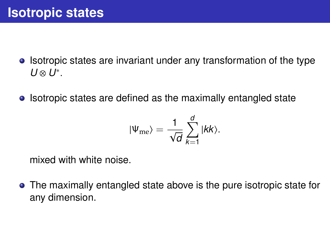- Isotropic states are invariant under any transformation of the type *U* ⊗ *U* ∗
- Isotropic states are defined as the maximally entangled state

$$
|\Psi_{\text{me}}\rangle = \frac{1}{\sqrt{d}}\sum_{k=1}^{d} |kk\rangle.
$$

mixed with white noise.

The maximally entangled state above is the pure isotropic state for any dimension.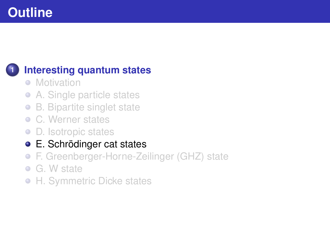### <span id="page-18-0"></span>**1 [Interesting quantum states](#page-1-0)**

- [Motivation](#page-1-0)
- [A. Single particle states](#page-3-0)  $\bullet$
- [B. Bipartite singlet state](#page-5-0)  $\bullet$
- **C.** Werner states
- [D. Isotropic states](#page-16-0)
- [E. Schrödinger cat states](#page-18-0)
- [F. Greenberger-Horne-Zeilinger \(GHZ\) state](#page-20-0)
- [G. W state](#page-25-0)
- **[H. Symmetric Dicke states](#page-27-0)**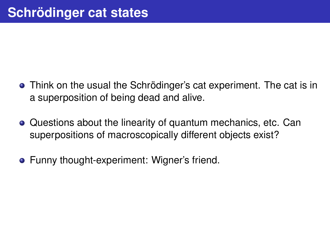- Think on the usual the Schrödinger's cat experiment. The cat is in a superposition of being dead and alive.
- Questions about the linearity of quantum mechanics, etc. Can superpositions of macroscopically different objects exist?
- **•** Funny thought-experiment: Wigner's friend.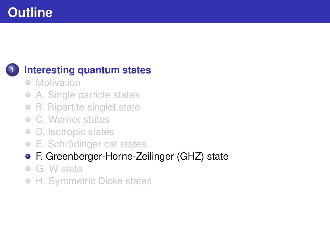### <span id="page-20-0"></span>**1 [Interesting quantum states](#page-1-0)**

- [Motivation](#page-1-0)
- [A. Single particle states](#page-3-0)  $\bullet$
- [B. Bipartite singlet state](#page-5-0)  $\bullet$
- **C.** Werner states
- [D. Isotropic states](#page-16-0)
- [E. Schrödinger cat states](#page-18-0)
- [F. Greenberger-Horne-Zeilinger \(GHZ\) state](#page-20-0)
- [G. W state](#page-25-0)
- **[H. Symmetric Dicke states](#page-27-0)**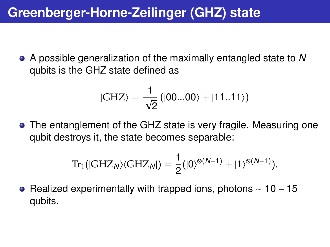# **Greenberger-Horne-Zeilinger (GHZ) state**

A possible generalization of the maximally entangled state to *N* qubits is the GHZ state defined as

$$
|GHZ\rangle=\frac{1}{\sqrt{2}}\left(|00...00\rangle+|11..11\rangle\right)
$$

The entanglement of the GHZ state is very fragile. Measuring one qubit destroys it, the state becomes separable:

$$
\mathrm{Tr}_1(|\mathrm{GHZ}_N\rangle\langle\mathrm{GHZ}_N|)=\frac{1}{2}(|0\rangle^{\otimes (N-1)}+|1\rangle^{\otimes (N-1)}).
$$

Realized experimentally with trapped ions, photons ∼ 10 − 15 qubits.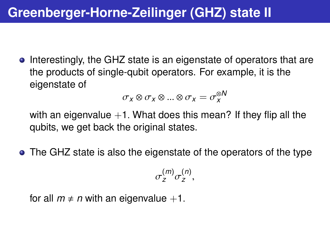• Interestingly, the GHZ state is an eigenstate of operators that are the products of single-qubit operators. For example, it is the eigenstate of

$$
\sigma_X \otimes \sigma_X \otimes \dots \otimes \sigma_X = \sigma_X^{\otimes N}
$$

with an eigenvalue  $+1$ . What does this mean? If they flip all the qubits, we get back the original states.

• The GHZ state is also the eigenstate of the operators of the type

$$
\sigma_z^{(m)}\sigma_z^{(n)},
$$

for all  $m \neq n$  with an eigenvalue  $+1$ .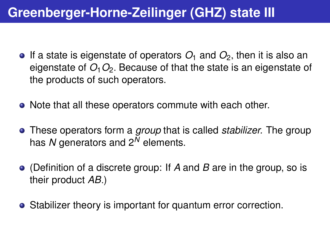# **Greenberger-Horne-Zeilinger (GHZ) state III**

- $\bullet$  If a state is eigenstate of operators  $O_1$  and  $O_2$ , then it is also an eigenstate of  $O_1O_2$ . Because of that the state is an eigenstate of the products of such operators.
- Note that all these operators commute with each other.
- These operators form a *group* that is called *stabilizer.* The group has *N* generators and 2*<sup>N</sup>* elements.
- (Definition of a discrete group: If *A* and *B* are in the group, so is their product *AB*.)
- Stabilizer theory is important for quantum error correction.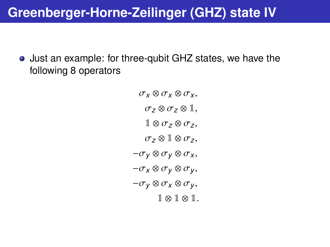# **Greenberger-Horne-Zeilinger (GHZ) state IV**

Just an example: for three-qubit GHZ states, we have the following 8 operators

> $\sigma$ *x*  $\otimes$   $\sigma$ *x*  $\otimes$   $\sigma$ *x*, <sup>σ</sup>*<sup>z</sup>* <sup>⊗</sup> <sup>σ</sup>*<sup>z</sup>* <sup>⊗</sup> <sup>1</sup>,  $1 \otimes \sigma_z \otimes \sigma_z$ <sup>σ</sup>*<sup>z</sup>* <sup>⊗</sup> <sup>1</sup> <sup>⊗</sup> <sup>σ</sup>*<sup>z</sup>* , <sup>−</sup>σ*<sup>y</sup>* <sup>⊗</sup> <sup>σ</sup>*<sup>y</sup>* <sup>⊗</sup> <sup>σ</sup>*<sup>x</sup>* , <sup>−</sup>σ*<sup>x</sup>* <sup>⊗</sup> <sup>σ</sup>*<sup>y</sup>* <sup>⊗</sup> <sup>σ</sup>*<sup>y</sup>* , <sup>−</sup>σ*<sup>y</sup>* <sup>⊗</sup> <sup>σ</sup>*<sup>x</sup>* <sup>⊗</sup> <sup>σ</sup>*<sup>y</sup>* , <sup>1</sup> <sup>⊗</sup> <sup>1</sup> <sup>⊗</sup> <sup>1</sup>.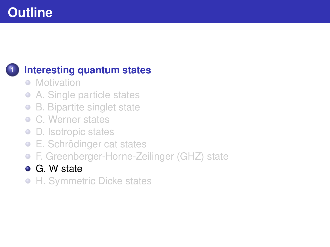### <span id="page-25-0"></span>**1 [Interesting quantum states](#page-1-0)**

- [Motivation](#page-1-0)
- [A. Single particle states](#page-3-0)  $\bullet$
- [B. Bipartite singlet state](#page-5-0)  $\bullet$
- **C.** Werner states
- [D. Isotropic states](#page-16-0)
- [E. Schrödinger cat states](#page-18-0)
- [F. Greenberger-Horne-Zeilinger \(GHZ\) state](#page-20-0)
- [G. W state](#page-25-0)
- **[H. Symmetric Dicke states](#page-27-0)**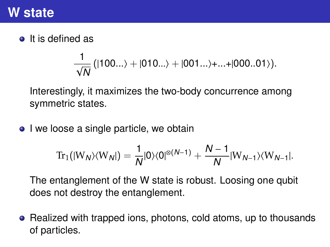### **W state**

 $\bullet$  It is defined as

$$
\frac{1}{\sqrt{N}}\left(|100...\rangle+|010...\rangle+|001...\rangle+...+|000..01\rangle\right).
$$

Interestingly, it maximizes the two-body concurrence among symmetric states.

• I we loose a single particle, we obtain

$$
\mathrm{Tr}_1(|W_N\rangle\langle W_N|)=\frac{1}{N}|0\rangle\langle 0|^{\otimes (N-1)}+\frac{N-1}{N}|W_{N-1}\rangle\langle W_{N-1}|.
$$

The entanglement of the W state is robust. Loosing one qubit does not destroy the entanglement.

• Realized with trapped ions, photons, cold atoms, up to thousands of particles.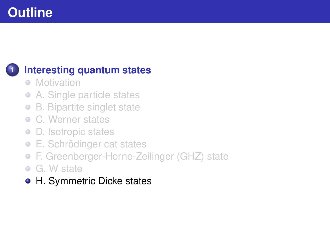### <span id="page-27-0"></span>**1 [Interesting quantum states](#page-1-0)**

- [Motivation](#page-1-0)
- [A. Single particle states](#page-3-0)  $\bullet$
- [B. Bipartite singlet state](#page-5-0)  $\bullet$
- **C.** Werner states
- [D. Isotropic states](#page-16-0)
- [E. Schrödinger cat states](#page-18-0)
- [F. Greenberger-Horne-Zeilinger \(GHZ\) state](#page-20-0)
- [G. W state](#page-25-0)
- **[H. Symmetric Dicke states](#page-27-0)**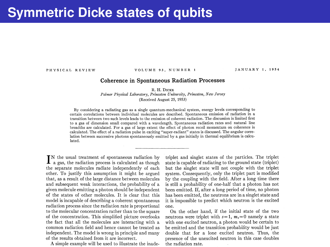### **Symmetric Dicke states of qubits**

PHYSICAL REVIEW

VOLUME 93. NUMBER 1

JANUARY 1, 1954

#### Coherence in Spontaneous Radiation Processes

R. H. DICKE

Palmer Physical Laboratory, Princeton University, Princeton, New Jersey (Received August 25, 1953)

By considering a radiating gas as a single quantum-mechanical system, energy levels corresponding to certain correlations between individual molecules are described. Spontaneous emission of radiation in a transition between two such levels leads to the emission of coherent radiation. The discussion is limited first to a gas of dimension small compared with a wavelength. Spontaneous radiation rates and natural line breadths are calculated. For a gas of large extent the effect of photon recoil momentum on coherence is calculated. The effect of a radiation pulse in exciting "super-radiant" states is discussed. The angular correlation between successive photons spontaneously emitted by a gas initially in thermal equilibrium is calculated.

IN the usual treatment of spontaneous radiation by **4** a gas, the radiation process is calculated as though the separate molecules radiate independently of each other. To justify this assumption it might be argued that, as a result of the large distance between molecules and subsequent weak interactions, the probability of a given molecule emitting a photon should be independent of the states of other molecules. It is clear that this model is incapable of describing a coherent spontaneous radiation process since the radiation rate is proportional to the molecular concentration rather than to the square of the concentration. This simplified picture overlooks the fact that all the molecules are interacting with a common radiation field and hence cannot be treated as independent. The model is wrong in principle and many of the results obtained from it are incorrect.

A simple example will be used to illustrate the inade-

triplet and singlet states of the particles. The triplet state is capable of radiating to the ground state (triplet) but the singlet state will not couple with the triplet system. Consequently, only the triplet part is modified by the coupling with the field. After a long time there is still a probability of one-half that a photon has not been emitted. If, after a long period of time, no photon has been emitted, the neutrons are in a singlet state and it is impossible to predict which neutron is the excited one.

On the other hand, if the initial state of the two neutrons were triplet with  $s=1$ ,  $m<sub>s</sub>=0$  namely a state with one excited neutron, a photon would be certain to be emitted and the transition probability would be just double that for a lone excited neutron. Thus, the presence of the unexcited neutron in this case doubles the radiation rate.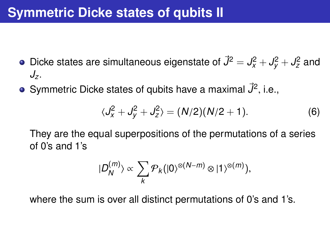### **Symmetric Dicke states of qubits II**

- Dicke states are simultaneous eigenstate of  $\vec{J}^2 = J_x^2 + J_y^2 + J_z^2$  and *Jz* .
- Symmetric Dicke states of qubits have a maximal  $\vec{J}^2$ , i.e.,

$$
\langle J_x^2 + J_y^2 + J_z^2 \rangle = (N/2)(N/2 + 1). \tag{6}
$$

They are the equal superpositions of the permutations of a series of 0's and 1's

$$
|D_N^{(m)}\rangle \propto \sum_k \mathcal{P}_k(|0\rangle^{\otimes (N-m)} \otimes |1\rangle^{\otimes (m)}),
$$

where the sum is over all distinct permutations of 0's and 1's.